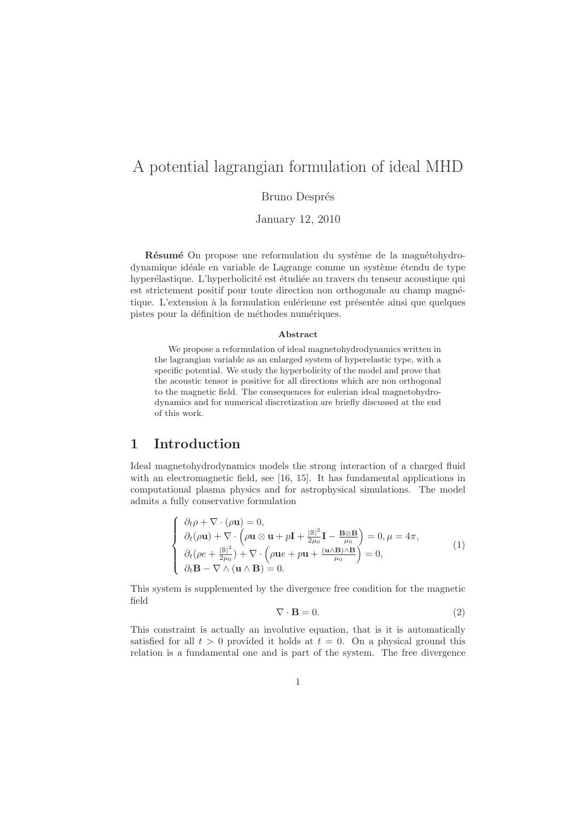# A potential lagrangian formulation of ideal MHD

#### Bruno Després

January 12, 2010

Résumé On propose une reformulation du système de la magnétohydrodynamique idéale en variable de Lagrange comme un système étendu de type hyperélastique. L'hyperbolicité est étudiée au travers du tenseur acoustique qui est strictement positif pour toute direction non orthogonale au champ magnétique. L'extension à la formulation eulérienne est présentée ainsi que quelques pistes pour la définition de méthodes numériques.

#### Abstract

We propose a reformulation of ideal magnetohydrodynamics written in the lagrangian variable as an enlarged system of hyperelastic type, with a specific potential. We study the hyperbolicity of the model and prove that the acoustic tensor is positive for all directions which are non orthogonal to the magnetic field. The consequences for eulerian ideal magnetohydrodynamics and for numerical discretization are briefly discussed at the end of this work.

### 1 Introduction

Ideal magnetohydrodynamics models the strong interaction of a charged fluid with an electromagnetic field, see [16, 15]. It has fundamental applications in computational plasma physics and for astrophysical simulations. The model admits a fully conservative formulation

$$
\begin{cases}\n\partial_t \rho + \nabla \cdot (\rho \mathbf{u}) = 0, \\
\partial_t (\rho \mathbf{u}) + \nabla \cdot \left(\rho \mathbf{u} \otimes \mathbf{u} + p \mathbf{I} + \frac{|\mathbb{B}|^2}{2\mu_0} \mathbf{I} - \frac{\mathbf{B} \otimes \mathbf{B}}{\mu_0}\right) = 0, \mu = 4\pi, \\
\partial_t (\rho e + \frac{|\mathbb{B}|^2}{2\mu_0}) + \nabla \cdot \left(\rho \mathbf{u} e + p \mathbf{u} + \frac{(\mathbf{u} \wedge \mathbf{B}) \wedge \mathbf{B}}{\mu_0}\right) = 0, \\
\partial_t \mathbf{B} - \nabla \wedge (\mathbf{u} \wedge \mathbf{B}) = 0.\n\end{cases} (1)
$$

This system is supplemented by the divergence free condition for the magnetic field

$$
\nabla \cdot \mathbf{B} = 0. \tag{2}
$$

This constraint is actually an involutive equation, that is it is automatically satisfied for all  $t > 0$  provided it holds at  $t = 0$ . On a physical ground this relation is a fundamental one and is part of the system. The free divergence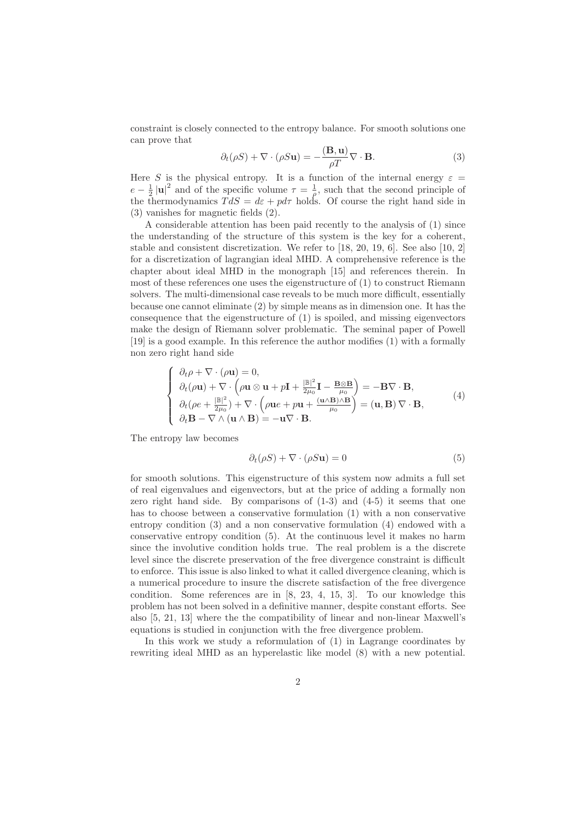constraint is closely connected to the entropy balance. For smooth solutions one can prove that

$$
\partial_t(\rho S) + \nabla \cdot (\rho S \mathbf{u}) = -\frac{(\mathbf{B}, \mathbf{u})}{\rho T} \nabla \cdot \mathbf{B}.
$$
 (3)

Here S is the physical entropy. It is a function of the internal energy  $\varepsilon =$  $e - \frac{1}{2} |u|^2$  and of the specific volume  $\tau = \frac{1}{\rho}$ , such that the second principle of the thermodynamics  $TdS = d\varepsilon + pd\tau$  holds. Of course the right hand side in (3) vanishes for magnetic fields (2).

A considerable attention has been paid recently to the analysis of (1) since the understanding of the structure of this system is the key for a coherent, stable and consistent discretization. We refer to [18, 20, 19, 6]. See also [10, 2] for a discretization of lagrangian ideal MHD. A comprehensive reference is the chapter about ideal MHD in the monograph [15] and references therein. In most of these references one uses the eigenstructure of (1) to construct Riemann solvers. The multi-dimensional case reveals to be much more difficult, essentially because one cannot eliminate (2) by simple means as in dimension one. It has the consequence that the eigenstructure of (1) is spoiled, and missing eigenvectors make the design of Riemann solver problematic. The seminal paper of Powell [19] is a good example. In this reference the author modifies (1) with a formally non zero right hand side

$$
\begin{cases}\n\partial_t \rho + \nabla \cdot (\rho \mathbf{u}) = 0, \\
\partial_t (\rho \mathbf{u}) + \nabla \cdot \left(\rho \mathbf{u} \otimes \mathbf{u} + p \mathbf{I} + \frac{|\mathbb{B}|^2}{2\mu_0} \mathbf{I} - \frac{\mathbf{B} \otimes \mathbf{B}}{\mu_0}\right) = -\mathbf{B} \nabla \cdot \mathbf{B}, \\
\partial_t (\rho e + \frac{|\mathbb{B}|^2}{2\mu_0}) + \nabla \cdot \left(\rho \mathbf{u} e + p \mathbf{u} + \frac{(\mathbf{u} \wedge \mathbf{B}) \wedge \mathbf{B}}{\mu_0}\right) = (\mathbf{u}, \mathbf{B}) \nabla \cdot \mathbf{B}, \\
\partial_t \mathbf{B} - \nabla \wedge (\mathbf{u} \wedge \mathbf{B}) = -\mathbf{u} \nabla \cdot \mathbf{B}.\n\end{cases}
$$
\n(4)

The entropy law becomes

$$
\partial_t(\rho S) + \nabla \cdot (\rho S \mathbf{u}) = 0 \tag{5}
$$

for smooth solutions. This eigenstructure of this system now admits a full set of real eigenvalues and eigenvectors, but at the price of adding a formally non zero right hand side. By comparisons of (1-3) and (4-5) it seems that one has to choose between a conservative formulation (1) with a non conservative entropy condition (3) and a non conservative formulation (4) endowed with a conservative entropy condition (5). At the continuous level it makes no harm since the involutive condition holds true. The real problem is a the discrete level since the discrete preservation of the free divergence constraint is difficult to enforce. This issue is also linked to what it called divergence cleaning, which is a numerical procedure to insure the discrete satisfaction of the free divergence condition. Some references are in [8, 23, 4, 15, 3]. To our knowledge this problem has not been solved in a definitive manner, despite constant efforts. See also [5, 21, 13] where the the compatibility of linear and non-linear Maxwell's equations is studied in conjunction with the free divergence problem.

In this work we study a reformulation of (1) in Lagrange coordinates by rewriting ideal MHD as an hyperelastic like model (8) with a new potential.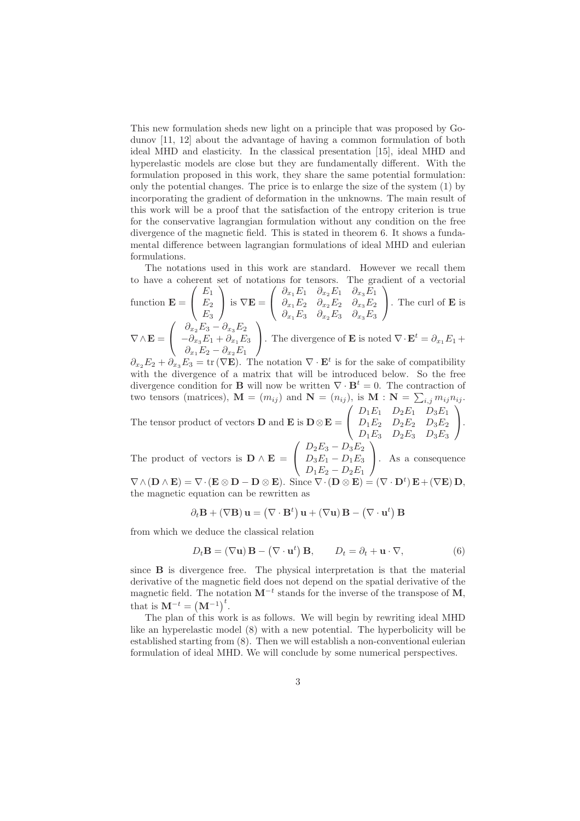This new formulation sheds new light on a principle that was proposed by Godunov [11, 12] about the advantage of having a common formulation of both ideal MHD and elasticity. In the classical presentation [15], ideal MHD and hyperelastic models are close but they are fundamentally different. With the formulation proposed in this work, they share the same potential formulation: only the potential changes. The price is to enlarge the size of the system (1) by incorporating the gradient of deformation in the unknowns. The main result of this work will be a proof that the satisfaction of the entropy criterion is true for the conservative lagrangian formulation without any condition on the free divergence of the magnetic field. This is stated in theorem 6. It shows a fundamental difference between lagrangian formulations of ideal MHD and eulerian formulations.

The notations used in this work are standard. However we recall them to have a coherent set of notations for tensors. The gradient of a vectorial

function 
$$
\mathbf{E} = \begin{pmatrix} E_1 \\ E_2 \\ E_3 \end{pmatrix}
$$
 is  $\nabla \mathbf{E} = \begin{pmatrix} \partial_{x_1} E_1 & \partial_{x_2} E_1 & \partial_{x_3} E_1 \\ \partial_{x_1} E_2 & \partial_{x_2} E_2 & \partial_{x_3} E_2 \\ \partial_{x_1} E_3 & \partial_{x_2} E_3 & \partial_{x_3} E_3 \end{pmatrix}$ . The curl of **E** is  
\n
$$
\nabla \wedge \mathbf{E} = \begin{pmatrix} \partial_{x_2} E_3 - \partial_{x_3} E_2 \\ -\partial_{x_3} E_1 + \partial_{x_1} E_3 \\ \partial_{x_1} E_2 - \partial_{x_2} E_1 \end{pmatrix}
$$
. The divergence of **E** is noted  $\nabla \cdot \mathbf{E}^t = \partial_{x_1} E_1 + \partial_{x_2} E_2$ 

 $\partial_{x_2} E_2 + \partial_{x_3} E_3 = \text{tr}(\nabla \mathbf{E})$ . The notation  $\nabla \cdot \mathbf{E}^t$  is for the sake of compatibility with the divergence of a matrix that will be introduced below. So the free divergence condition for **B** will now be written  $\nabla \cdot \mathbf{B}^t = 0$ . The contraction of two tensors (matrices),  $\mathbf{M} = (m_{ij})$  and  $\mathbf{N} = (n_{ij})$ , is  $\mathbf{M} = \sum_{i,j} m_{ij} n_{ij}$ .  $\sqrt{ }$  $D_1E_1$   $D_2E_1$   $D_3E_1$  $\setminus$ 

The tensor product of vectors **D** and **E** is  $\mathbf{D} \otimes \mathbf{E} =$  $\mathcal{L}$  $D_1E_2$   $D_2E_2$   $D_3E_2$  $D_1E_3$   $D_2E_3$   $D_3E_3$  $\cdot$ 

The product of vectors is  $\mathbf{D} \wedge \mathbf{E} =$  $\sqrt{ }$  $\mathcal{L}$  $D_2E_3 - D_3E_2$  $D_3E_1 - D_1E_3$  $D_1E_2 - D_2E_1$  $\setminus$ . As a consequence

 $\nabla \wedge (\mathbf{D} \wedge \mathbf{E}) = \nabla \cdot (\mathbf{E} \otimes \mathbf{D} - \mathbf{D} \otimes \mathbf{E}).$  Since  $\nabla \cdot (\mathbf{D} \otimes \mathbf{E}) = (\nabla \cdot \mathbf{D}^t) \mathbf{E} + (\nabla \mathbf{E}) \mathbf{D},$ the magnetic equation can be rewritten as

$$
\partial_t \mathbf{B} + (\nabla \mathbf{B}) \mathbf{u} = (\nabla \cdot \mathbf{B}^t) \mathbf{u} + (\nabla \mathbf{u}) \mathbf{B} - (\nabla \cdot \mathbf{u}^t) \mathbf{B}
$$

from which we deduce the classical relation

$$
D_t \mathbf{B} = (\nabla \mathbf{u}) \mathbf{B} - (\nabla \cdot \mathbf{u}^t) \mathbf{B}, \qquad D_t = \partial_t + \mathbf{u} \cdot \nabla,
$$
 (6)

since B is divergence free. The physical interpretation is that the material derivative of the magnetic field does not depend on the spatial derivative of the magnetic field. The notation  $M^{-t}$  stands for the inverse of the transpose of M, that is  $M^{-t} = (M^{-1})^t$ .

The plan of this work is as follows. We will begin by rewriting ideal MHD like an hyperelastic model (8) with a new potential. The hyperbolicity will be established starting from (8). Then we will establish a non-conventional eulerian formulation of ideal MHD. We will conclude by some numerical perspectives.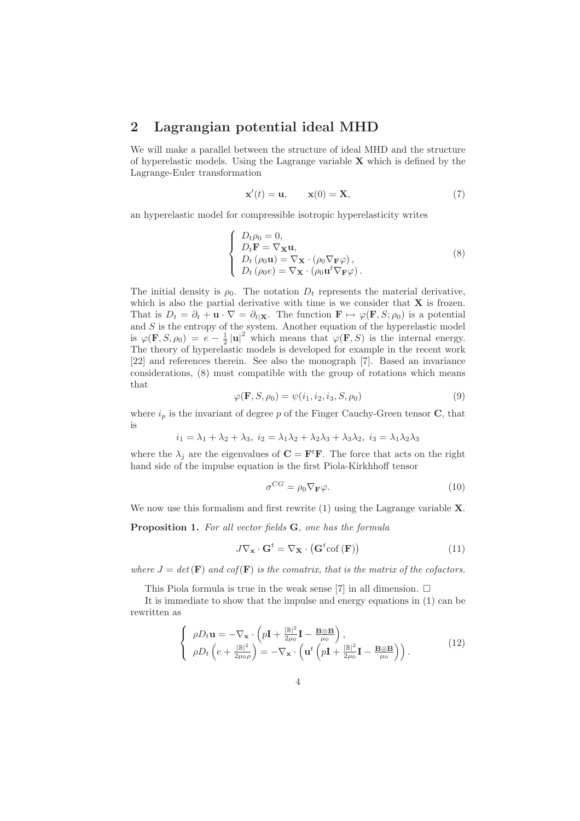#### 2 Lagrangian potential ideal MHD

We will make a parallel between the structure of ideal MHD and the structure of hyperelastic models. Using the Lagrange variable  $X$  which is defined by the Lagrange-Euler transformation

$$
\mathbf{x}'(t) = \mathbf{u}, \qquad \mathbf{x}(0) = \mathbf{X}, \tag{7}
$$

an hyperelastic model for compressible isotropic hyperelasticity writes

$$
\begin{cases}\nD_t \rho_0 = 0, \\
D_t \mathbf{F} = \nabla_{\mathbf{X}} \mathbf{u}, \\
D_t (\rho_0 \mathbf{u}) = \nabla_{\mathbf{X}} \cdot (\rho_0 \nabla_{\mathbf{F}} \varphi), \\
D_t (\rho_0 e) = \nabla_{\mathbf{X}} \cdot (\rho_0 \mathbf{u}^t \nabla_{\mathbf{F}} \varphi).\n\end{cases}
$$
\n(8)

The initial density is  $\rho_0$ . The notation  $D_t$  represents the material derivative, which is also the partial derivative with time is we consider that  $X$  is frozen. That is  $D_t = \partial_t + \mathbf{u} \cdot \nabla = \partial_t | \mathbf{x}$ . The function  $\mathbf{F} \mapsto \varphi(\mathbf{F},S;\rho_0)$  is a potential and  $S$  is the entropy of the system. Another equation of the hyperelastic model is  $\varphi(\mathbf{F}, S, \rho_0) = e - \frac{1}{2} |\mathbf{u}|^2$  which means that  $\varphi(\mathbf{F}, S)$  is the internal energy. The theory of hyperelastic models is developed for example in the recent work [22] and references therein. See also the monograph [7]. Based an invariance considerations, (8) must compatible with the group of rotations which means that

$$
\varphi(\mathbf{F}, S, \rho_0) = \psi(i_1, i_2, i_3, S, \rho_0)
$$
\n(9)

where  $i_p$  is the invariant of degree p of the Finger Cauchy-Green tensor C, that is

$$
i_1 = \lambda_1 + \lambda_2 + \lambda_3, \ i_2 = \lambda_1 \lambda_2 + \lambda_2 \lambda_3 + \lambda_3 \lambda_2, \ i_3 = \lambda_1 \lambda_2 \lambda_3
$$

where the  $\lambda_j$  are the eigenvalues of  $\mathbf{C} = \mathbf{F}^t \mathbf{F}$ . The force that acts on the right hand side of the impulse equation is the first Piola-Kirkhhoff tensor

$$
\sigma^{CG} = \rho_0 \nabla_{\mathbf{F}} \varphi.
$$
\n(10)

We now use this formalism and first rewrite (1) using the Lagrange variable **X**.

Proposition 1. *For all vector fields* G*, one has the formula*

$$
J\nabla_{\mathbf{x}} \cdot \mathbf{G}^t = \nabla_{\mathbf{X}} \cdot (\mathbf{G}^t \text{cof}(\mathbf{F})) \tag{11}
$$

*where*  $J = det(\mathbf{F})$  *and cof*( $\mathbf{F}$ ) *is the comatrix, that is the matrix of the cofactors.* 

This Piola formula is true in the weak sense [7] in all dimension.  $\Box$ 

It is immediate to show that the impulse and energy equations in (1) can be rewritten as

$$
\begin{cases}\n\rho D_t \mathbf{u} = -\nabla_{\mathbf{x}} \cdot \left( p\mathbf{I} + \frac{|\mathbb{B}|^2}{2\mu_0} \mathbf{I} - \frac{\mathbf{B} \otimes \mathbf{B}}{\mu_0} \right), \\
\rho D_t \left( e + \frac{|\mathbb{B}|^2}{2\mu_0 \rho} \right) = -\nabla_{\mathbf{x}} \cdot \left( \mathbf{u}^t \left( p\mathbf{I} + \frac{|\mathbb{B}|^2}{2\mu_0} \mathbf{I} - \frac{\mathbf{B} \otimes \mathbf{B}}{\mu_0} \right) \right).\n\end{cases} (12)
$$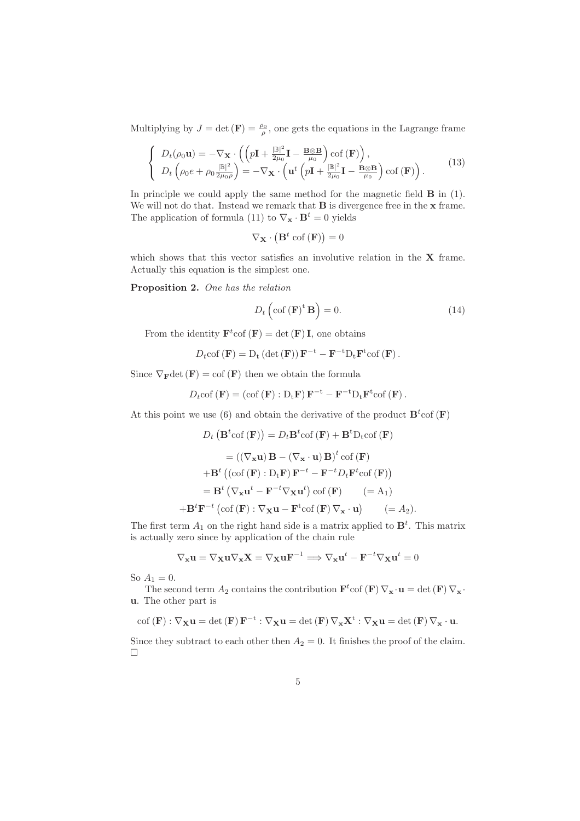Multiplying by  $J = \det(\mathbf{F}) = \frac{\rho_0}{\rho}$ , one gets the equations in the Lagrange frame

$$
\begin{cases}\nD_t(\rho_0 \mathbf{u}) = -\nabla_{\mathbf{X}} \cdot \left( \left( p\mathbf{I} + \frac{\|\mathbb{B}\|^2}{2\mu_0} \mathbf{I} - \frac{\mathbf{B} \otimes \mathbf{B}}{\mu_0} \right) \text{cof} \left( \mathbf{F} \right) \right), \\
D_t \left( \rho_0 e + \rho_0 \frac{\|\mathbb{B}\|^2}{2\mu_0 \rho} \right) = -\nabla_{\mathbf{X}} \cdot \left( \mathbf{u}^t \left( p\mathbf{I} + \frac{\|\mathbb{B}\|^2}{2\mu_0} \mathbf{I} - \frac{\mathbf{B} \otimes \mathbf{B}}{\mu_0} \right) \text{cof} \left( \mathbf{F} \right) \right).\n\end{cases} (13)
$$

In principle we could apply the same method for the magnetic field B in (1). We will not do that. Instead we remark that **B** is divergence free in the **x** frame. The application of formula (11) to  $\nabla_{\mathbf{x}} \cdot \mathbf{B}^{t} = 0$  yields

$$
\nabla_{\mathbf{X}} \cdot \left( \mathbf{B}^t \operatorname{cof} \left( \mathbf{F} \right) \right) = 0
$$

which shows that this vector satisfies an involutive relation in the **X** frame. Actually this equation is the simplest one.

Proposition 2. *One has the relation*

$$
D_t\left(\operatorname{cof}\left(\mathbf{F}\right)^{\mathrm{t}}\mathbf{B}\right) = 0.\tag{14}
$$

From the identity  $\mathbf{F}^t$ cof  $(\mathbf{F}) = \det(\mathbf{F}) \mathbf{I}$ , one obtains

$$
D_t \text{cof}(\mathbf{F}) = D_t \left( \det(\mathbf{F}) \right) \mathbf{F}^{-t} - \mathbf{F}^{-t} D_t \mathbf{F}^t \text{cof}(\mathbf{F}).
$$

Since  $\nabla_{\mathbf{F}} \det(\mathbf{F}) = \text{cof}(\mathbf{F})$  then we obtain the formula

$$
D_t \text{cof}(\mathbf{F}) = (\text{cof}(\mathbf{F}) : D_t \mathbf{F}) \mathbf{F}^{-t} - \mathbf{F}^{-t} D_t \mathbf{F}^t \text{cof}(\mathbf{F}).
$$

At this point we use (6) and obtain the derivative of the product  $\mathbf{B}^t$  cof (F)

$$
D_t (\mathbf{B}^t \text{cof}(\mathbf{F})) = D_t \mathbf{B}^t \text{cof}(\mathbf{F}) + \mathbf{B}^t D_t \text{cof}(\mathbf{F})
$$
  
\n
$$
= ((\nabla_{\mathbf{x}} \mathbf{u}) \mathbf{B} - (\nabla_{\mathbf{x}} \cdot \mathbf{u}) \mathbf{B})^t \text{cof}(\mathbf{F})
$$
  
\n
$$
+ \mathbf{B}^t ((\text{cof}(\mathbf{F}) : D_t \mathbf{F}) \mathbf{F}^{-t} - \mathbf{F}^{-t} D_t \mathbf{F}^t \text{cof}(\mathbf{F}))
$$
  
\n
$$
= \mathbf{B}^t (\nabla_{\mathbf{x}} \mathbf{u}^t - \mathbf{F}^{-t} \nabla_{\mathbf{x}} \mathbf{u}^t) \text{cof}(\mathbf{F}) \quad (= A_1)
$$
  
\n
$$
+ \mathbf{B}^t \mathbf{F}^{-t} (\text{cof}(\mathbf{F}) : \nabla_{\mathbf{x}} \mathbf{u} - \mathbf{F}^t \text{cof}(\mathbf{F}) \nabla_{\mathbf{x}} \cdot \mathbf{u}) \quad (= A_2).
$$

The first term  $A_1$  on the right hand side is a matrix applied to  $\mathbf{B}^t$ . This matrix is actually zero since by application of the chain rule

$$
\nabla_{\mathbf{x}} \mathbf{u} = \nabla_{\mathbf{X}} \mathbf{u} \nabla_{\mathbf{x}} \mathbf{X} = \nabla_{\mathbf{X}} \mathbf{u} \mathbf{F}^{-1} \Longrightarrow \nabla_{\mathbf{x}} \mathbf{u}^{t} - \mathbf{F}^{-t} \nabla_{\mathbf{X}} \mathbf{u}^{t} = 0
$$

So  $A_1 = 0$ .

The second term  $A_2$  contains the contribution  $\mathbf{F}^t$ cof  $(\mathbf{F}) \nabla_{\mathbf{x}} \cdot \mathbf{u} = \det(\mathbf{F}) \nabla_{\mathbf{x}} \cdot$ u. The other part is

$$
\mathrm{cof}\left(\mathbf{F}\right):\nabla_{\mathbf{X}}\mathbf{u}=\mathrm{det}\left(\mathbf{F}\right)\mathbf{F}^{-t}:\nabla_{\mathbf{X}}\mathbf{u}=\mathrm{det}\left(\mathbf{F}\right)\nabla_{\mathbf{x}}\mathbf{X}^{t}:\nabla_{\mathbf{X}}\mathbf{u}=\mathrm{det}\left(\mathbf{F}\right)\nabla_{\mathbf{x}}\cdot\mathbf{u}.
$$

Since they subtract to each other then  $A_2 = 0$ . It finishes the proof of the claim.  $\Box$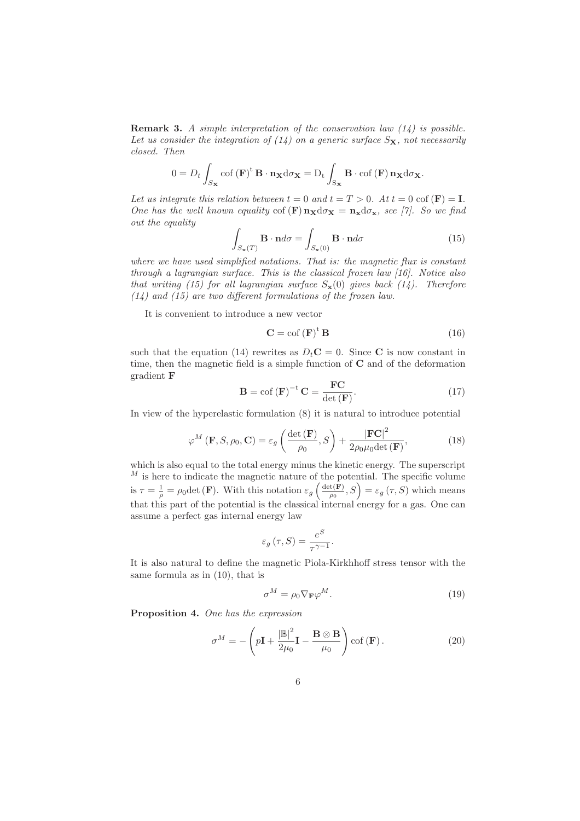Remark 3. *A simple interpretation of the conservation law (14) is possible.* Let us consider the integration of  $(14)$  on a generic surface  $S_{\mathbf{X}}$ , not necessarily *closed. Then*

$$
0 = D_t \int_{S_{\mathbf{X}}} \operatorname{cof} \left( \mathbf{F} \right)^{\mathrm{t}} \mathbf{B} \cdot \mathbf{n}_{\mathbf{X}} d\sigma_{\mathbf{X}} = D_t \int_{S_{\mathbf{X}}} \mathbf{B} \cdot \operatorname{cof} \left( \mathbf{F} \right) \mathbf{n}_{\mathbf{X}} d\sigma_{\mathbf{X}}.
$$

Let us integrate this relation between  $t = 0$  and  $t = T > 0$ . At  $t = 0$  cof  $(\mathbf{F}) = \mathbf{I}$ . *One has the well known equality* cof  $(\mathbf{F}) \mathbf{n}_{\mathbf{X}} d\sigma_{\mathbf{X}} = \mathbf{n}_{\mathbf{x}} d\sigma_{\mathbf{x}}$ *, see [7]. So we find out the equality*

$$
\int_{S_{\mathbf{x}}(T)} \mathbf{B} \cdot \mathbf{n} d\sigma = \int_{S_{\mathbf{x}}(0)} \mathbf{B} \cdot \mathbf{n} d\sigma \tag{15}
$$

*where we have used simplified notations. That is: the magnetic flux is constant through a lagrangian surface. This is the classical frozen law [16]. Notice also that writing (15) for all lagrangian surface*  $S_{\mathbf{x}}(0)$  *gives back (14). Therefore (14) and (15) are two different formulations of the frozen law.*

It is convenient to introduce a new vector

$$
\mathbf{C} = \operatorname{cof} \left( \mathbf{F} \right)^{\operatorname{t}} \mathbf{B} \tag{16}
$$

such that the equation (14) rewrites as  $D<sub>t</sub>$ C = 0. Since C is now constant in time, then the magnetic field is a simple function of C and of the deformation gradient F

$$
\mathbf{B} = \text{cof}(\mathbf{F})^{-t}\mathbf{C} = \frac{\mathbf{FC}}{\det(\mathbf{F})}.
$$
 (17)

In view of the hyperelastic formulation (8) it is natural to introduce potential

$$
\varphi^{M}\left(\mathbf{F}, S, \rho_{0}, \mathbf{C}\right) = \varepsilon_{g} \left( \frac{\det\left(\mathbf{F}\right)}{\rho_{0}}, S\right) + \frac{|\mathbf{FC}|^{2}}{2\rho_{0}\mu_{0} \det\left(\mathbf{F}\right)},\tag{18}
$$

which is also equal to the total energy minus the kinetic energy. The superscript  $^M$  is here to indicate the magnetic nature of the potential. The specific volume is  $\tau = \frac{1}{\rho} = \rho_0 \det(\mathbf{F})$ . With this notation  $\varepsilon_g \left( \frac{\det(\mathbf{F})}{\rho_0} \right)$  $\left( \frac{f(\mathbf{F})}{\rho_0}, S \right) = \varepsilon_g \left( \tau, S \right)$  which means that this part of the potential is the classical internal energy for a gas. One can assume a perfect gas internal energy law

$$
\varepsilon_g(\tau, S) = \frac{e^S}{\tau^{\gamma - 1}}.
$$

It is also natural to define the magnetic Piola-Kirkhhoff stress tensor with the same formula as in (10), that is

$$
\sigma^M = \rho_0 \nabla_{\mathbf{F}} \varphi^M. \tag{19}
$$

Proposition 4. *One has the expression*

$$
\sigma^{M} = -\left(p\mathbf{I} + \frac{|\mathbb{B}|^{2}}{2\mu_{0}}\mathbf{I} - \frac{\mathbf{B} \otimes \mathbf{B}}{\mu_{0}}\right) \text{cof}(\mathbf{F}). \tag{20}
$$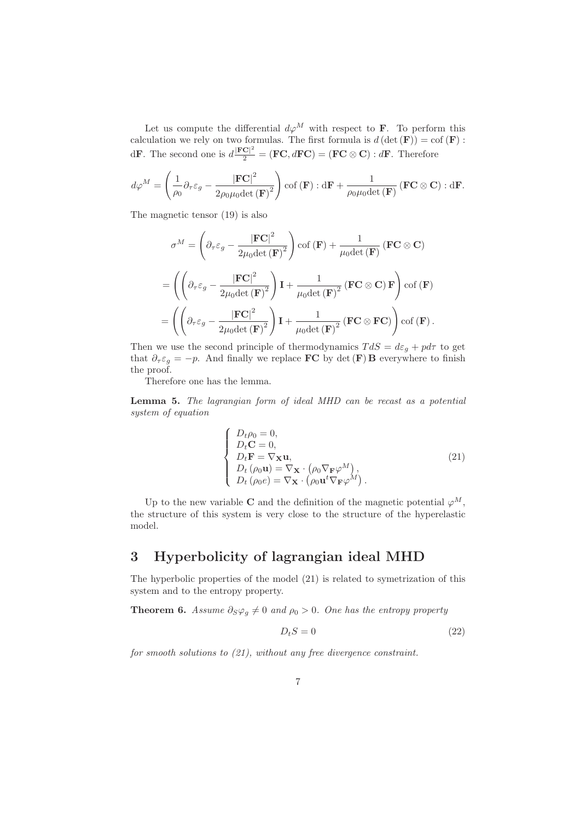Let us compute the differential  $d\varphi^M$  with respect to **F**. To perform this calculation we rely on two formulas. The first formula is  $d(\det(\mathbf{F})) = \text{cof}(\mathbf{F})$ : d**F**. The second one is  $d\frac{|\mathbf{FC}|^2}{2} = (\mathbf{FC}, d\mathbf{FC}) = (\mathbf{FC} \otimes \mathbf{C}) : d\mathbf{F}$ . Therefore

$$
d\varphi^M = \left(\frac{1}{\rho_0} \partial_\tau \varepsilon_g - \frac{|\mathbf{FC}|^2}{2\rho_0 \mu_0 \det(\mathbf{F})^2}\right) \operatorname{cof}(\mathbf{F}) : \mathrm{d}\mathbf{F} + \frac{1}{\rho_0 \mu_0 \det(\mathbf{F})} (\mathbf{FC} \otimes \mathbf{C}) : \mathrm{d}\mathbf{F}.
$$

The magnetic tensor (19) is also

$$
\sigma^{M} = \left(\partial_{\tau}\varepsilon_{g} - \frac{|\mathbf{FC}|^{2}}{2\mu_{0}\det(\mathbf{F})^{2}}\right) \cot(\mathbf{F}) + \frac{1}{\mu_{0}\det(\mathbf{F})} (\mathbf{FC} \otimes \mathbf{C})
$$

$$
= \left(\left(\partial_{\tau}\varepsilon_{g} - \frac{|\mathbf{FC}|^{2}}{2\mu_{0}\det(\mathbf{F})^{2}}\right)\mathbf{I} + \frac{1}{\mu_{0}\det(\mathbf{F})^{2}} (\mathbf{FC} \otimes \mathbf{C})\mathbf{F}\right) \cot(\mathbf{F})
$$

$$
= \left(\left(\partial_{\tau}\varepsilon_{g} - \frac{|\mathbf{FC}|^{2}}{2\mu_{0}\det(\mathbf{F})^{2}}\right)\mathbf{I} + \frac{1}{\mu_{0}\det(\mathbf{F})^{2}} (\mathbf{FC} \otimes \mathbf{FC})\right) \cot(\mathbf{F}).
$$

Then we use the second principle of thermodynamics  $TdS = d\varepsilon_q + pd\tau$  to get that  $\partial_{\tau} \varepsilon_g = -p$ . And finally we replace **FC** by det (**F**) **B** everywhere to finish the proof.

Therefore one has the lemma.

Lemma 5. *The lagrangian form of ideal MHD can be recast as a potential system of equation*

$$
\begin{cases}\nD_t \rho_0 = 0, \\
D_t \mathbf{C} = 0, \\
D_t \mathbf{F} = \nabla_{\mathbf{X}} \mathbf{u}, \\
D_t (\rho_0 \mathbf{u}) = \nabla_{\mathbf{X}} \cdot (\rho_0 \nabla_{\mathbf{F}} \varphi^M), \\
D_t (\rho_0 e) = \nabla_{\mathbf{X}} \cdot (\rho_0 \mathbf{u}^t \nabla_{\mathbf{F}} \varphi^M).\n\end{cases}
$$
\n(21)

Up to the new variable C and the definition of the magnetic potential  $\varphi^M$ , the structure of this system is very close to the structure of the hyperelastic model.

### 3 Hyperbolicity of lagrangian ideal MHD

The hyperbolic properties of the model (21) is related to symetrization of this system and to the entropy property.

**Theorem 6.** *Assume*  $\partial_S \varphi_g \neq 0$  *and*  $\rho_0 > 0$ *. One has the entropy property* 

$$
D_t S = 0 \tag{22}
$$

*for smooth solutions to (21), without any free divergence constraint.*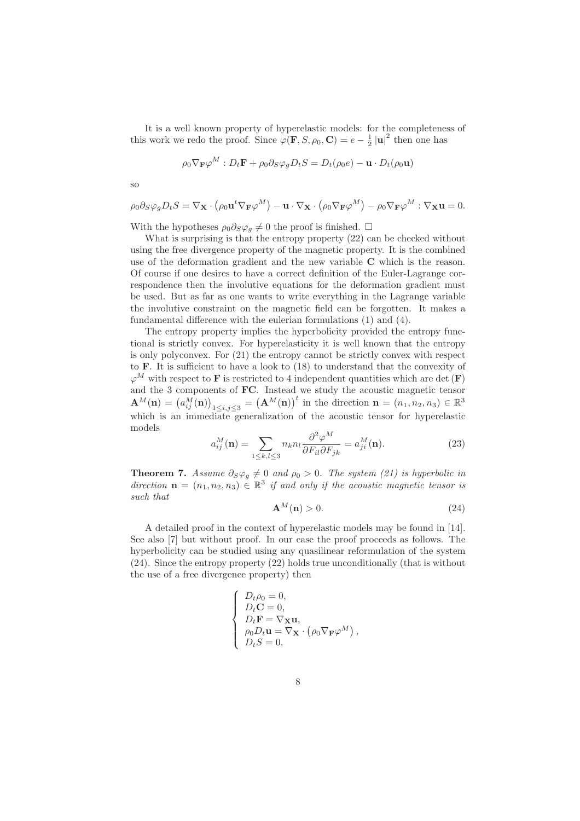It is a well known property of hyperelastic models: for the completeness of this work we redo the proof. Since  $\varphi(\mathbf{F}, S, \rho_0, \mathbf{C}) = e - \frac{1}{2} |\mathbf{u}|^2$  then one has

$$
\rho_0 \nabla_{\mathbf{F}} \varphi^M : D_t \mathbf{F} + \rho_0 \partial_S \varphi_g D_t S = D_t(\rho_0 e) - \mathbf{u} \cdot D_t(\rho_0 \mathbf{u})
$$

so

$$
\rho_0 \partial_S \varphi_g D_t S = \nabla_{\mathbf{X}} \cdot (\rho_0 \mathbf{u}^t \nabla_{\mathbf{F}} \varphi^M) - \mathbf{u} \cdot \nabla_{\mathbf{X}} \cdot (\rho_0 \nabla_{\mathbf{F}} \varphi^M) - \rho_0 \nabla_{\mathbf{F}} \varphi^M : \nabla_{\mathbf{X}} \mathbf{u} = 0.
$$

With the hypotheses  $\rho_0 \partial_S \varphi_g \neq 0$  the proof is finished.  $\Box$ 

What is surprising is that the entropy property  $(22)$  can be checked without using the free divergence property of the magnetic property. It is the combined use of the deformation gradient and the new variable C which is the reason. Of course if one desires to have a correct definition of the Euler-Lagrange correspondence then the involutive equations for the deformation gradient must be used. But as far as one wants to write everything in the Lagrange variable the involutive constraint on the magnetic field can be forgotten. It makes a fundamental difference with the eulerian formulations (1) and (4).

The entropy property implies the hyperbolicity provided the entropy functional is strictly convex. For hyperelasticity it is well known that the entropy is only polyconvex. For (21) the entropy cannot be strictly convex with respect to F. It is sufficient to have a look to (18) to understand that the convexity of  $\varphi^M$  with respect to **F** is restricted to 4 independent quantities which are det (**F**) and the 3 components of FC. Instead we study the acoustic magnetic tensor  $\mathbf{A}^{M}(\mathbf{n}) = (a_{ij}^{M}(\mathbf{n}))_{1 \leq i,j \leq 3} = (\mathbf{A}^{M}(\mathbf{n}))^{t}$  in the direction  $\mathbf{n} = (n_{1}, n_{2}, n_{3}) \in \mathbb{R}^{3}$ which is an immediate generalization of the acoustic tensor for hyperelastic models

$$
a_{ij}^M(\mathbf{n}) = \sum_{1 \le k,l \le 3} n_k n_l \frac{\partial^2 \varphi^M}{\partial F_{il} \partial F_{jk}} = a_{ji}^M(\mathbf{n}).\tag{23}
$$

**Theorem 7.** *Assume*  $\partial_S \varphi_g \neq 0$  *and*  $\rho_0 > 0$ *. The system (21) is hyperbolic in* direction  $\mathbf{n} = (n_1, n_2, n_3) \in \mathbb{R}^3$  if and only if the acoustic magnetic tensor is *such that*

$$
\mathbf{A}^{M}(\mathbf{n}) > 0. \tag{24}
$$

A detailed proof in the context of hyperelastic models may be found in [14]. See also [7] but without proof. In our case the proof proceeds as follows. The hyperbolicity can be studied using any quasilinear reformulation of the system (24). Since the entropy property (22) holds true unconditionally (that is without the use of a free divergence property) then

$$
\left\{ \begin{array}{l} D_t \rho_0 = 0,\\ D_t \mathbf{C} = 0,\\ D_t \mathbf{F} = \nabla_{\mathbf{X}} \mathbf{u},\\ \rho_0 D_t \mathbf{u} = \nabla_{\mathbf{X}} \cdot \left( \rho_0 \nabla_{\mathbf{F}} \varphi^M \right),\\ D_t S = 0, \end{array} \right.
$$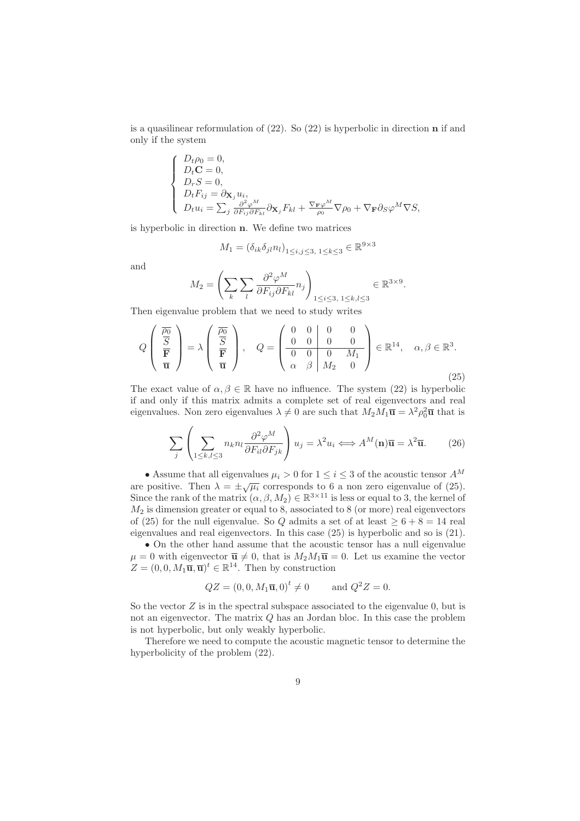is a quasilinear reformulation of (22). So (22) is hyperbolic in direction n if and only if the system

$$
\left\{\begin{array}{l} D_t\rho_0=0,\\ D_t\mathbf{C}=0,\\ D_rS=0,\\ D_tF_{ij}=\partial_{\mathbf{X}_j}u_i,\\ D_tu_i=\sum_j\frac{\partial^2\varphi^M}{\partial F_{ij}\partial F_{kl}}\partial_{\mathbf{X}_j}F_{kl}+\frac{\nabla_{\mathbf{F}}\varphi^M}{\rho_0}\nabla\rho_0+\nabla_{\mathbf{F}}\partial_S\varphi^M\nabla S,\end{array}\right.
$$

is hyperbolic in direction n. We define two matrices

$$
M_1 = (\delta_{ik}\delta_{jl}n_l)_{1 \le i,j \le 3, 1 \le k \le 3} \in \mathbb{R}^{9 \times 3}
$$

and

$$
M_2 = \left(\sum_k \sum_l \frac{\partial^2 \varphi^M}{\partial F_{ij} \partial F_{kl}} n_j \right)_{1 \le i \le 3, 1 \le k, l \le 3} \in \mathbb{R}^{3 \times 9}.
$$

Then eigenvalue problem that we need to study writes

$$
Q\left(\begin{array}{c}\n\overline{p_0} \\
\overline{S} \\
\overline{\mathbf{F}} \\
\overline{\mathbf{u}}\n\end{array}\right) = \lambda \left(\begin{array}{c}\n\overline{p_0} \\
\overline{S} \\
\overline{\mathbf{F}} \\
\overline{\mathbf{u}}\n\end{array}\right), \quad Q = \left(\begin{array}{cccccc}\n0 & 0 & 0 & 0 \\
0 & 0 & 0 & 0 \\
\hline\n0 & 0 & 0 & M_1 \\
\alpha & \beta & M_2 & 0\n\end{array}\right) \in \mathbb{R}^{14}, \quad \alpha, \beta \in \mathbb{R}^3.
$$
\n(25)

The exact value of  $\alpha, \beta \in \mathbb{R}$  have no influence. The system (22) is hyperbolic if and only if this matrix admits a complete set of real eigenvectors and real eigenvalues. Non zero eigenvalues  $\lambda \neq 0$  are such that  $M_2M_1\overline{u} = \lambda^2 \rho_0^2 \overline{u}$  that is

$$
\sum_{j} \left( \sum_{1 \leq k, l \leq 3} n_k n_l \frac{\partial^2 \varphi^M}{\partial F_{il} \partial F_{jk}} \right) u_j = \lambda^2 u_i \Longleftrightarrow A^M(\mathbf{n}) \overline{\mathbf{u}} = \lambda^2 \overline{\mathbf{u}}.
$$
 (26)

 $\bullet$  Assume that all eigenvalues  $\mu_i > 0$  for  $1 \leq i \leq 3$  of the acoustic tensor  $A^M$ are positive. Then  $\lambda = \pm \sqrt{\mu_i}$  corresponds to 6 a non zero eigenvalue of (25). Since the rank of the matrix  $(\alpha, \beta, M_2) \in \mathbb{R}^{3 \times 11}$  is less or equal to 3, the kernel of  $M_2$  is dimension greater or equal to 8, associated to 8 (or more) real eigenvectors of (25) for the null eigenvalue. So Q admits a set of at least  $> 6 + 8 = 14$  real eigenvalues and real eigenvectors. In this case (25) is hyperbolic and so is (21).

• On the other hand assume that the acoustic tensor has a null eigenvalue  $\mu = 0$  with eigenvector  $\bar{u} \neq 0$ , that is  $M_2M_1\bar{u} = 0$ . Let us examine the vector  $Z = (0, 0, M_1 \overline{\mathbf{u}}, \overline{\mathbf{u}})^t \in \mathbb{R}^{14}$ . Then by construction

$$
QZ = (0, 0, M_1\overline{u}, 0)^t \neq 0
$$
 and  $Q^2Z = 0$ .

So the vector  $Z$  is in the spectral subspace associated to the eigenvalue  $0$ , but is not an eigenvector. The matrix Q has an Jordan bloc. In this case the problem is not hyperbolic, but only weakly hyperbolic.

Therefore we need to compute the acoustic magnetic tensor to determine the hyperbolicity of the problem (22).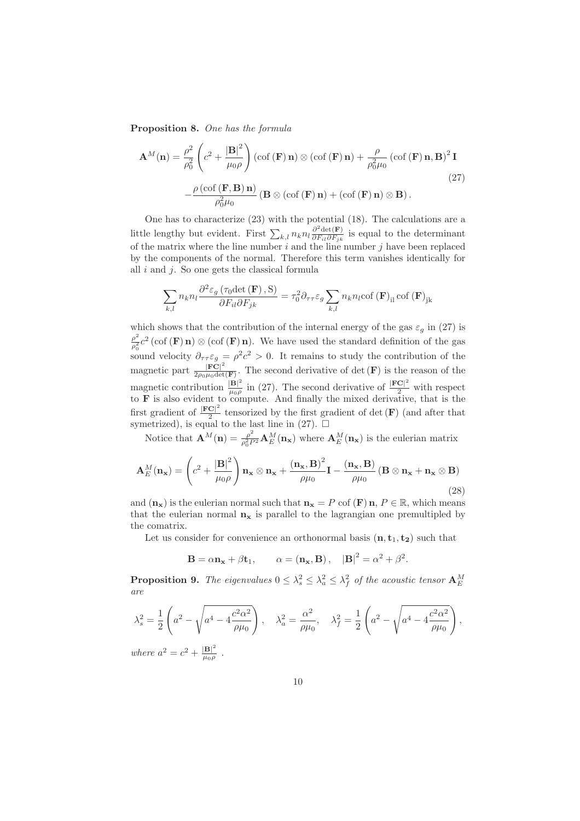Proposition 8. *One has the formula*

$$
\mathbf{A}^{M}(\mathbf{n}) = \frac{\rho^{2}}{\rho_{0}^{2}} \left( c^{2} + \frac{|\mathbf{B}|^{2}}{\mu_{0}\rho} \right) (\operatorname{cof}(\mathbf{F}) \mathbf{n}) \otimes (\operatorname{cof}(\mathbf{F}) \mathbf{n}) + \frac{\rho}{\rho_{0}^{2}\mu_{0}} (\operatorname{cof}(\mathbf{F}) \mathbf{n}, \mathbf{B})^{2} \mathbf{I}
$$

$$
-\frac{\rho (\operatorname{cof}(\mathbf{F}, \mathbf{B}) \mathbf{n})}{\rho_{0}^{2}\mu_{0}} (\mathbf{B} \otimes (\operatorname{cof}(\mathbf{F}) \mathbf{n}) + (\operatorname{cof}(\mathbf{F}) \mathbf{n}) \otimes \mathbf{B}).
$$
 (27)

One has to characterize (23) with the potential (18). The calculations are a little lengthy but evident. First  $\sum_{k,l} n_k n_l \frac{\partial^2 \det(\mathbf{F})}{\partial F_{il} \partial F_{ik}}$  $\frac{\partial \det(\mathbf{F})}{\partial F_{il}\partial F_{jk}}$  is equal to the determinant of the matrix where the line number  $i$  and the line number  $j$  have been replaced by the components of the normal. Therefore this term vanishes identically for all  $i$  and  $j$ . So one gets the classical formula

$$
\sum_{k,l} n_k n_l \frac{\partial^2 \varepsilon_g \left( \tau_0 \det\left(\mathbf{F}\right), \mathbf{S} \right)}{\partial F_{il} \partial F_{jk}} = \tau_0^2 \partial_{\tau \tau} \varepsilon_g \sum_{k,l} n_k n_l \text{cof}\left(\mathbf{F}\right)_{il} \text{cof}\left(\mathbf{F}\right)_{jk}
$$

which shows that the contribution of the internal energy of the gas  $\varepsilon_q$  in (27) is  $\rho^2$  $\frac{\rho^2}{\rho_0^2}c^2$  (cof (**F**) n)  $\otimes$  (cof (**F**) n). We have used the standard definition of the gas sound velocity  $\partial_{\tau\tau}\varepsilon_g = \rho^2 c^2 > 0$ . It remains to study the contribution of the magnetic part  $\frac{|\vec{FC}|^2}{2\rho_0 \mu_0 det}$  $\frac{|\mathbf{FC}|}{2\rho_0\mu_0\det(\mathbf{F})}$ . The second derivative of det  $(\mathbf{F})$  is the reason of the magnetic contribution  $\frac{|\mathbf{B}|^2}{\mu_0 g}$  $\frac{|\mathbf{B}|^2}{\mu_0 \rho}$  in (27). The second derivative of  $\frac{|\mathbf{F} \mathbf{C}|^2}{2}$  with respect to F is also evident to compute. And finally the mixed derivative, that is the first gradient of  $\frac{|\mathbf{FC}|^2}{2}$  $\frac{C}{2}$  tensorized by the first gradient of det (F) (and after that symetrized), is equal to the last line in (27).  $\Box$ 

Notice that  $\mathbf{A}^{M}(\mathbf{n}) = \frac{\rho^{2}}{e^{2}R}$  $\frac{\rho^2}{\rho_0^2 P^2} \mathbf{A}_E^M(\mathbf{n_x})$  where  $\mathbf{A}_E^M(\mathbf{n_x})$  is the eulerian matrix

$$
\mathbf{A}_{E}^{M}(\mathbf{n}_{\mathbf{x}}) = \left(c^{2} + \frac{|\mathbf{B}|^{2}}{\mu_{0}\rho}\right)\mathbf{n}_{\mathbf{x}}\otimes\mathbf{n}_{\mathbf{x}} + \frac{(\mathbf{n}_{\mathbf{x}},\mathbf{B})^{2}}{\rho\mu_{0}}\mathbf{I} - \frac{(\mathbf{n}_{\mathbf{x}},\mathbf{B})}{\rho\mu_{0}}\left(\mathbf{B}\otimes\mathbf{n}_{\mathbf{x}} + \mathbf{n}_{\mathbf{x}}\otimes\mathbf{B}\right)
$$
\n(28)

and  $(\mathbf{n}_{\mathbf{x}})$  is the eulerian normal such that  $\mathbf{n}_{\mathbf{x}} = P$  cof  $(\mathbf{F}) \mathbf{n}, P \in \mathbb{R}$ , which means that the eulerian normal  $n_x$  is parallel to the lagrangian one premultipled by the comatrix.

Let us consider for convenience an orthonormal basis  $(n, t_1, t_2)$  such that

$$
\mathbf{B} = \alpha \mathbf{n_x} + \beta \mathbf{t_1}, \qquad \alpha = (\mathbf{n_x}, \mathbf{B}), \quad |\mathbf{B}|^2 = \alpha^2 + \beta^2.
$$

**Proposition 9.** The eigenvalues  $0 \leq \lambda_s^2 \leq \lambda_a^2 \leq \lambda_f^2$  of the acoustic tensor  $\mathbf{A}_{E}^{M}$ *are*

$$
\begin{split} \lambda_s^2 &= \frac{1}{2} \left( a^2 - \sqrt{a^4 - 4 \frac{c^2 \alpha^2}{\rho \mu_0}} \right), \quad \lambda_a^2 = \frac{\alpha^2}{\rho \mu_0}, \quad \lambda_f^2 = \frac{1}{2} \left( a^2 - \sqrt{a^4 - 4 \frac{c^2 \alpha^2}{\rho \mu_0}} \right), \\ \text{where } a^2 &= c^2 + \frac{|\mathbf{B}|^2}{\mu_0 \rho} \end{split}
$$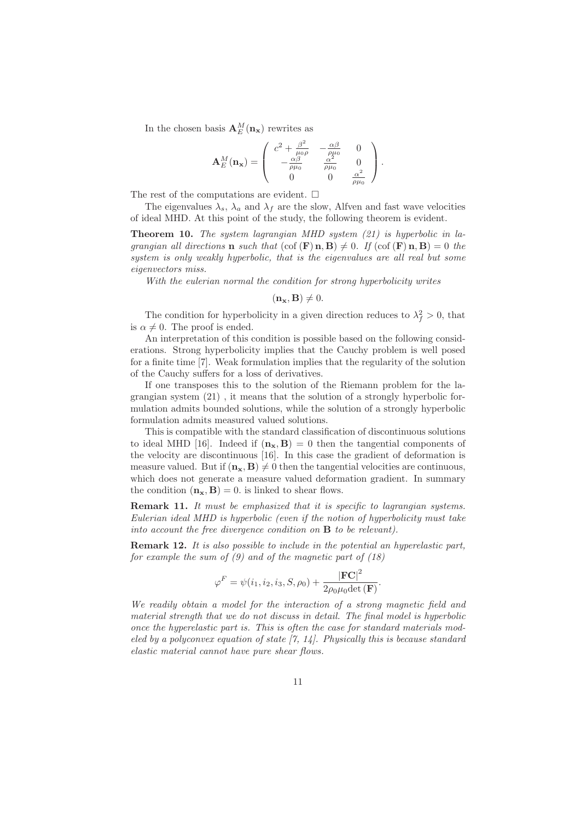In the chosen basis  ${\bf A}_E^M({\bf n}_{\bf x})$  rewrites as

$$
\mathbf{A}^M_E(\mathbf{n_x}) = \left( \begin{array}{ccc} c^2 + \frac{\beta^2}{\mu_0 \rho} & -\frac{\alpha \beta}{\rho \mu_0} & 0 \\ -\frac{\alpha \beta}{\rho \mu_0} & \frac{\alpha^2}{\rho \mu_0} & 0 \\ 0 & 0 & \frac{\alpha^2}{\rho \mu_0} \end{array} \right).
$$

The rest of the computations are evident.  $\square$ 

The eigenvalues  $\lambda_s$ ,  $\lambda_a$  and  $\lambda_f$  are the slow, Alfven and fast wave velocities of ideal MHD. At this point of the study, the following theorem is evident.

Theorem 10. *The system lagrangian MHD system (21) is hyperbolic in lagrangian all directions* **n** *such that*  $(\text{cof }(\mathbf{F})\mathbf{n}, \mathbf{B}) \neq 0$ . If  $(\text{cof }(\mathbf{F})\mathbf{n}, \mathbf{B}) = 0$  the *system is only weakly hyperbolic, that is the eigenvalues are all real but some eigenvectors miss.*

*With the eulerian normal the condition for strong hyperbolicity writes*

 $(\mathbf{n}_{\mathbf{x}}, \mathbf{B}) \neq 0.$ 

The condition for hyperbolicity in a given direction reduces to  $\lambda_f^2 > 0$ , that is  $\alpha \neq 0$ . The proof is ended.

An interpretation of this condition is possible based on the following considerations. Strong hyperbolicity implies that the Cauchy problem is well posed for a finite time [7]. Weak formulation implies that the regularity of the solution of the Cauchy suffers for a loss of derivatives.

If one transposes this to the solution of the Riemann problem for the lagrangian system (21) , it means that the solution of a strongly hyperbolic formulation admits bounded solutions, while the solution of a strongly hyperbolic formulation admits measured valued solutions.

This is compatible with the standard classification of discontinuous solutions to ideal MHD [16]. Indeed if  $(n_x, B) = 0$  then the tangential components of the velocity are discontinuous [16]. In this case the gradient of deformation is measure valued. But if  $(n_x, B) \neq 0$  then the tangential velocities are continuous, which does not generate a measure valued deformation gradient. In summary the condition  $(\mathbf{n}_{\mathbf{x}}, \mathbf{B}) = 0$ . is linked to shear flows.

Remark 11. *It must be emphasized that it is specific to lagrangian systems. Eulerian ideal MHD is hyperbolic (even if the notion of hyperbolicity must take into account the free divergence condition on* B *to be relevant).*

Remark 12. *It is also possible to include in the potential an hyperelastic part, for example the sum of (9) and of the magnetic part of (18)*

$$
\varphi^F = \psi(i_1, i_2, i_3, S, \rho_0) + \frac{|\mathbf{FC}|^2}{2\rho_0\mu_0 \det(\mathbf{F})}.
$$

*We readily obtain a model for the interaction of a strong magnetic field and material strength that we do not discuss in detail. The final model is hyperbolic once the hyperelastic part is. This is often the case for standard materials modeled by a polyconvex equation of state [7, 14]. Physically this is because standard elastic material cannot have pure shear flows.*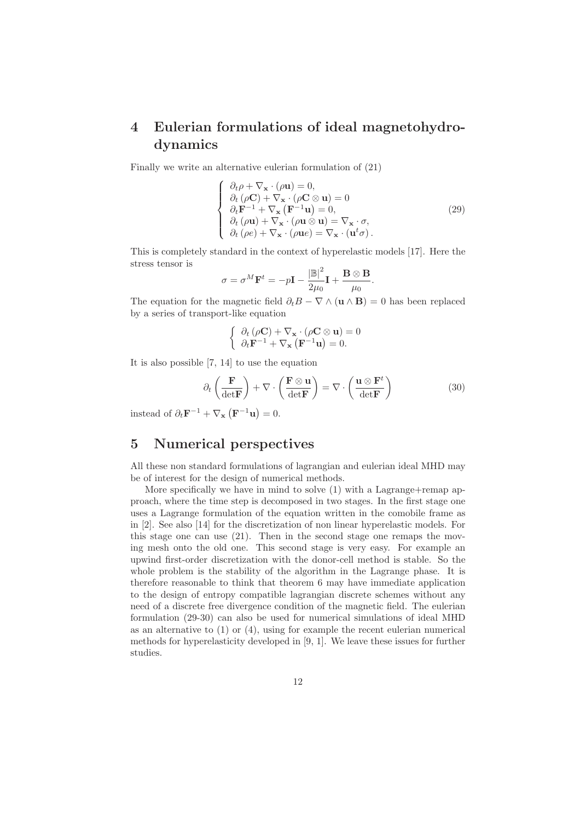## 4 Eulerian formulations of ideal magnetohydrodynamics

Finally we write an alternative eulerian formulation of (21)

$$
\begin{cases}\n\partial_t \rho + \nabla_{\mathbf{x}} \cdot (\rho \mathbf{u}) = 0, \\
\partial_t (\rho \mathbf{C}) + \nabla_{\mathbf{x}} \cdot (\rho \mathbf{C} \otimes \mathbf{u}) = 0 \\
\partial_t \mathbf{F}^{-1} + \nabla_{\mathbf{x}} (\mathbf{F}^{-1} \mathbf{u}) = 0, \\
\partial_t (\rho \mathbf{u}) + \nabla_{\mathbf{x}} \cdot (\rho \mathbf{u} \otimes \mathbf{u}) = \nabla_{\mathbf{x}} \cdot \sigma, \\
\partial_t (\rho e) + \nabla_{\mathbf{x}} \cdot (\rho \mathbf{u} e) = \nabla_{\mathbf{x}} \cdot (\mathbf{u}^t \sigma).\n\end{cases} (29)
$$

This is completely standard in the context of hyperelastic models [17]. Here the stress tensor is

$$
\sigma = \sigma^M \mathbf{F}^t = -p\mathbf{I} - \frac{|\mathbb{B}|^2}{2\mu_0} \mathbf{I} + \frac{\mathbf{B} \otimes \mathbf{B}}{\mu_0}.
$$

The equation for the magnetic field  $\partial_t B - \nabla \wedge (\mathbf{u} \wedge \mathbf{B}) = 0$  has been replaced by a series of transport-like equation

$$
\begin{cases} \partial_t (\rho \mathbf{C}) + \nabla_{\mathbf{x}} \cdot (\rho \mathbf{C} \otimes \mathbf{u}) = 0 \\ \partial_t \mathbf{F}^{-1} + \nabla_{\mathbf{x}} (\mathbf{F}^{-1} \mathbf{u}) = 0. \end{cases}
$$

It is also possible [7, 14] to use the equation

$$
\partial_t \left( \frac{\mathbf{F}}{\det \mathbf{F}} \right) + \nabla \cdot \left( \frac{\mathbf{F} \otimes \mathbf{u}}{\det \mathbf{F}} \right) = \nabla \cdot \left( \frac{\mathbf{u} \otimes \mathbf{F}^t}{\det \mathbf{F}} \right) \tag{30}
$$

instead of  $\partial_t \mathbf{F}^{-1} + \nabla_{\mathbf{x}} (\mathbf{F}^{-1} \mathbf{u}) = 0.$ 

### 5 Numerical perspectives

All these non standard formulations of lagrangian and eulerian ideal MHD may be of interest for the design of numerical methods.

More specifically we have in mind to solve  $(1)$  with a Lagrange+remap approach, where the time step is decomposed in two stages. In the first stage one uses a Lagrange formulation of the equation written in the comobile frame as in [2]. See also [14] for the discretization of non linear hyperelastic models. For this stage one can use (21). Then in the second stage one remaps the moving mesh onto the old one. This second stage is very easy. For example an upwind first-order discretization with the donor-cell method is stable. So the whole problem is the stability of the algorithm in the Lagrange phase. It is therefore reasonable to think that theorem 6 may have immediate application to the design of entropy compatible lagrangian discrete schemes without any need of a discrete free divergence condition of the magnetic field. The eulerian formulation (29-30) can also be used for numerical simulations of ideal MHD as an alternative to  $(1)$  or  $(4)$ , using for example the recent eulerian numerical methods for hyperelasticity developed in [9, 1]. We leave these issues for further studies.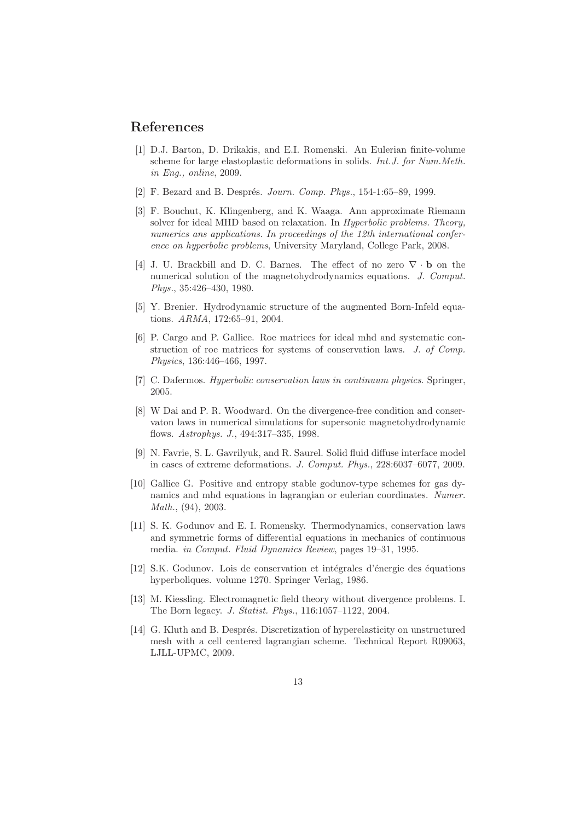### References

- [1] D.J. Barton, D. Drikakis, and E.I. Romenski. An Eulerian finite-volume scheme for large elastoplastic deformations in solids. *Int.J. for Num.Meth. in Eng., online*, 2009.
- [2] F. Bezard and B. Després. *Journ. Comp. Phys.*, 154-1:65-89, 1999.
- [3] F. Bouchut, K. Klingenberg, and K. Waaga. Ann approximate Riemann solver for ideal MHD based on relaxation. In *Hyperbolic problems. Theory, numerics ans applications. In proceedings of the 12th international conference on hyperbolic problems*, University Maryland, College Park, 2008.
- [4] J. U. Brackbill and D. C. Barnes. The effect of no zero ∇ · b on the numerical solution of the magnetohydrodynamics equations. *J. Comput. Phys.*, 35:426–430, 1980.
- [5] Y. Brenier. Hydrodynamic structure of the augmented Born-Infeld equations. *ARMA*, 172:65–91, 2004.
- [6] P. Cargo and P. Gallice. Roe matrices for ideal mhd and systematic construction of roe matrices for systems of conservation laws. *J. of Comp. Physics*, 136:446–466, 1997.
- [7] C. Dafermos. *Hyperbolic conservation laws in continuum physics*. Springer, 2005.
- [8] W Dai and P. R. Woodward. On the divergence-free condition and conservaton laws in numerical simulations for supersonic magnetohydrodynamic flows. *Astrophys. J.*, 494:317–335, 1998.
- [9] N. Favrie, S. L. Gavrilyuk, and R. Saurel. Solid fluid diffuse interface model in cases of extreme deformations. *J. Comput. Phys.*, 228:6037–6077, 2009.
- [10] Gallice G. Positive and entropy stable godunov-type schemes for gas dynamics and mhd equations in lagrangian or eulerian coordinates. *Numer. Math.*, (94), 2003.
- [11] S. K. Godunov and E. I. Romensky. Thermodynamics, conservation laws and symmetric forms of differential equations in mechanics of continuous media. *in Comput. Fluid Dynamics Review*, pages 19–31, 1995.
- [12] S.K. Godunov. Lois de conservation et intégrales d'énergie des équations hyperboliques. volume 1270. Springer Verlag, 1986.
- [13] M. Kiessling. Electromagnetic field theory without divergence problems. I. The Born legacy. *J. Statist. Phys.*, 116:1057–1122, 2004.
- [14] G. Kluth and B. Després. Discretization of hyperelasticity on unstructured mesh with a cell centered lagrangian scheme. Technical Report R09063, LJLL-UPMC, 2009.